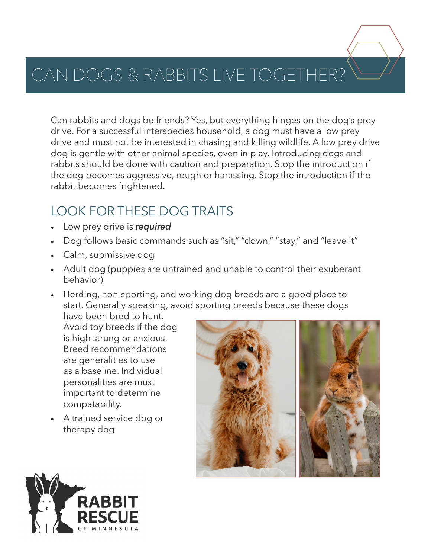# CAN DOGS & RABBITS LIVE TOGETHER?

Can rabbits and dogs be friends? Yes, but everything hinges on the dog's prey drive. For a successful interspecies household, a dog must have a low prey drive and must not be interested in chasing and killing wildlife. A low prey drive dog is gentle with other animal species, even in play. Introducing dogs and rabbits should be done with caution and preparation. Stop the introduction if the dog becomes aggressive, rough or harassing. Stop the introduction if the rabbit becomes frightened.

#### LOOK FOR THESE DOG TRAITS

- Low prey drive is *required*
- Dog follows basic commands such as "sit," "down," "stay," and "leave it"
- Calm, submissive dog
- Adult dog (puppies are untrained and unable to control their exuberant behavior)
- Herding, non-sporting, and working dog breeds are a good place to start. Generally speaking, avoid sporting breeds because these dogs

have been bred to hunt. Avoid toy breeds if the dog is high strung or anxious. Breed recommendations are generalities to use as a baseline. Individual personalities are must important to determine compatability.

• A trained service dog or therapy dog